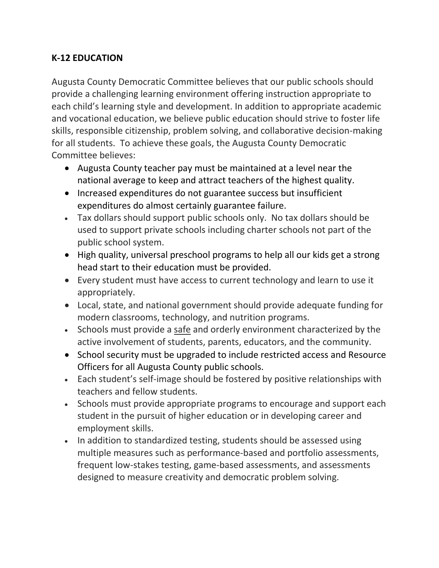## **K-12 EDUCATION**

Augusta County Democratic Committee believes that our public schools should provide a challenging learning environment offering instruction appropriate to each child's learning style and development. In addition to appropriate academic and vocational education, we believe public education should strive to foster life skills, responsible citizenship, problem solving, and collaborative decision-making for all students. To achieve these goals, the Augusta County Democratic Committee believes:

- Augusta County teacher pay must be maintained at a level near the national average to keep and attract teachers of the highest quality.
- Increased expenditures do not guarantee success but insufficient expenditures do almost certainly guarantee failure.
- Tax dollars should support public schools only. No tax dollars should be used to support private schools including charter schools not part of the public school system.
- High quality, universal preschool programs to help all our kids get a strong head start to their education must be provided.
- Every student must have access to current technology and learn to use it appropriately.
- Local, state, and national government should provide adequate funding for modern classrooms, technology, and nutrition programs.
- Schools must provide a safe and orderly environment characterized by the active involvement of students, parents, educators, and the community.
- School security must be upgraded to include restricted access and Resource Officers for all Augusta County public schools.
- Each student's self-image should be fostered by positive relationships with teachers and fellow students.
- Schools must provide appropriate programs to encourage and support each student in the pursuit of higher education or in developing career and employment skills.
- In addition to standardized testing, students should be assessed using multiple measures such as performance-based and portfolio assessments, frequent low-stakes testing, game-based assessments, and assessments designed to measure creativity and democratic problem solving.